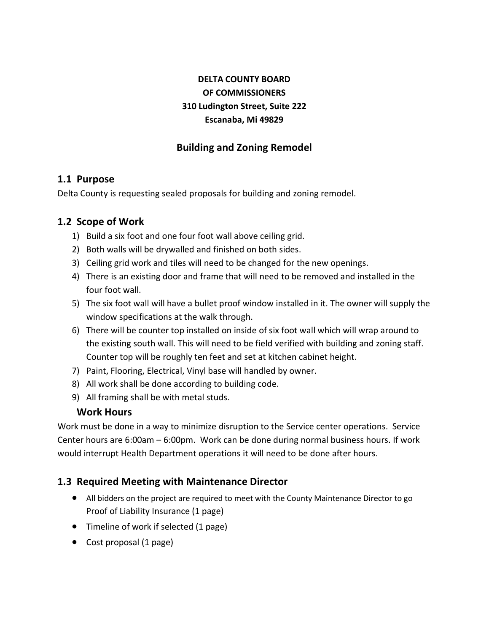# **DELTA COUNTY BOARD OF COMMISSIONERS 310 Ludington Street, Suite 222 Escanaba, Mi 49829**

## **Building and Zoning Remodel**

#### **1.1 Purpose**

Delta County is requesting sealed proposals for building and zoning remodel.

#### **1.2 Scope of Work**

- 1) Build a six foot and one four foot wall above ceiling grid.
- 2) Both walls will be drywalled and finished on both sides.
- 3) Ceiling grid work and tiles will need to be changed for the new openings.
- 4) There is an existing door and frame that will need to be removed and installed in the four foot wall.
- 5) The six foot wall will have a bullet proof window installed in it. The owner will supply the window specifications at the walk through.
- 6) There will be counter top installed on inside of six foot wall which will wrap around to the existing south wall. This will need to be field verified with building and zoning staff. Counter top will be roughly ten feet and set at kitchen cabinet height.
- 7) Paint, Flooring, Electrical, Vinyl base will handled by owner.
- 8) All work shall be done according to building code.
- 9) All framing shall be with metal studs.

#### **Work Hours**

Work must be done in a way to minimize disruption to the Service center operations. Service Center hours are 6:00am – 6:00pm. Work can be done during normal business hours. If work would interrupt Health Department operations it will need to be done after hours.

#### **1.3 Required Meeting with Maintenance Director**

- All bidders on the project are required to meet with the County Maintenance Director to go Proof of Liability Insurance (1 page)
- Timeline of work if selected (1 page)
- Cost proposal (1 page)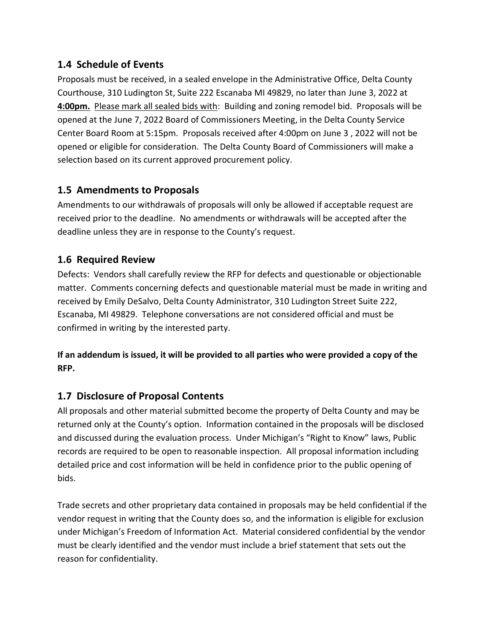## **1.4 Schedule of Events**

Proposals must be received, in a sealed envelope in the Administrative Office, Delta County Courthouse, 310 Ludington St, Suite 222 Escanaba MI 49829, no later than June 3, 2022 at **4:00pm.** Please mark all sealed bids with: Building and zoning remodel bid. Proposals will be opened at the June 7, 2022 Board of Commissioners Meeting, in the Delta County Service Center Board Room at 5:15pm. Proposals received after 4:00pm on June 3 , 2022 will not be opened or eligible for consideration. The Delta County Board of Commissioners will make a selection based on its current approved procurement policy.

# **1.5 Amendments to Proposals**

Amendments to our withdrawals of proposals will only be allowed if acceptable request are received prior to the deadline. No amendments or withdrawals will be accepted after the deadline unless they are in response to the County's request.

## **1.6 Required Review**

Defects: Vendors shall carefully review the RFP for defects and questionable or objectionable matter. Comments concerning defects and questionable material must be made in writing and received by Emily DeSalvo, Delta County Administrator, 310 Ludington Street Suite 222, Escanaba, MI 49829. Telephone conversations are not considered official and must be confirmed in writing by the interested party.

## **If an addendum is issued, it will be provided to all parties who were provided a copy of the RFP.**

## **1.7 Disclosure of Proposal Contents**

All proposals and other material submitted become the property of Delta County and may be returned only at the County's option. Information contained in the proposals will be disclosed and discussed during the evaluation process. Under Michigan's "Right to Know" laws, Public records are required to be open to reasonable inspection. All proposal information including detailed price and cost information will be held in confidence prior to the public opening of bids.

Trade secrets and other proprietary data contained in proposals may be held confidential if the vendor request in writing that the County does so, and the information is eligible for exclusion under Michigan's Freedom of Information Act. Material considered confidential by the vendor must be clearly identified and the vendor must include a brief statement that sets out the reason for confidentiality.